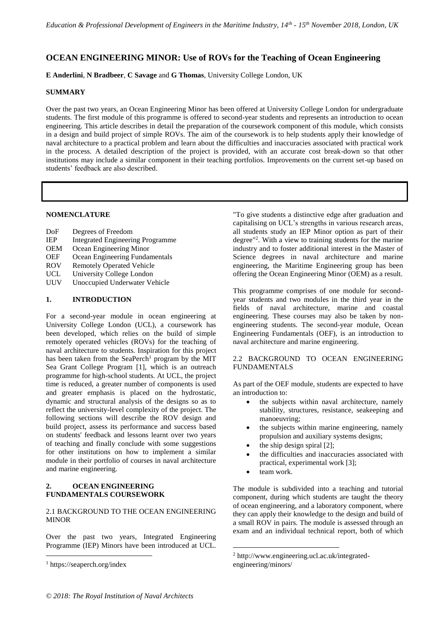# **OCEAN ENGINEERING MINOR: Use of ROVs for the Teaching of Ocean Engineering**

**E Anderlini**, **N Bradbeer**, **C Savage** and **G Thomas**, University College London, UK

## **SUMMARY**

Over the past two years, an Ocean Engineering Minor has been offered at University College London for undergraduate students. The first module of this programme is offered to second-year students and represents an introduction to ocean engineering. This article describes in detail the preparation of the coursework component of this module, which consists in a design and build project of simple ROVs. The aim of the coursework is to help students apply their knowledge of naval architecture to a practical problem and learn about the difficulties and inaccuracies associated with practical work in the process. A detailed description of the project is provided, with an accurate cost break-down so that other institutions may include a similar component in their teaching portfolios. Improvements on the current set-up based on students' feedback are also described.

## **NOMENCLATURE**

| DoF        | Degrees of Freedom                      |
|------------|-----------------------------------------|
| <b>IEP</b> | <b>Integrated Engineering Programme</b> |
| <b>OEM</b> | Ocean Engineering Minor                 |
| <b>OEF</b> | Ocean Engineering Fundamentals          |
| <b>ROV</b> | <b>Remotely Operated Vehicle</b>        |
| <b>UCL</b> | University College London               |
| UUV        | Unoccupied Underwater Vehicle           |
|            |                                         |

## **1. INTRODUCTION**

For a second-year module in ocean engineering at University College London (UCL), a coursework has been developed, which relies on the build of simple remotely operated vehicles (ROVs) for the teaching of naval architecture to students. Inspiration for this project has been taken from the SeaPerch<sup>1</sup> program by the MIT Sea Grant College Program [1], which is an outreach programme for high-school students. At UCL, the project time is reduced, a greater number of components is used and greater emphasis is placed on the hydrostatic, dynamic and structural analysis of the designs so as to reflect the university-level complexity of the project. The following sections will describe the ROV design and build project, assess its performance and success based on students' feedback and lessons learnt over two years of teaching and finally conclude with some suggestions for other institutions on how to implement a similar module in their portfolio of courses in naval architecture and marine engineering.

## **2. OCEAN ENGINEERING FUNDAMENTALS COURSEWORK**

## 2.1 BACKGROUND TO THE OCEAN ENGINEERING **MINOR**

Over the past two years, Integrated Engineering Programme (IEP) Minors have been introduced at UCL.

 $\overline{a}$ 

"To give students a distinctive edge after graduation and capitalising on UCL's strengths in various research areas, all students study an IEP Minor option as part of their degree"<sup>2</sup> . With a view to training students for the marine industry and to foster additional interest in the Master of Science degrees in naval architecture and marine engineering, the Maritime Engineering group has been offering the Ocean Engineering Minor (OEM) as a result.

This programme comprises of one module for secondyear students and two modules in the third year in the fields of naval architecture, marine and coastal engineering. These courses may also be taken by nonengineering students. The second-year module, Ocean Engineering Fundamentals (OEF), is an introduction to naval architecture and marine engineering.

## 2.2 BACKGROUND TO OCEAN ENGINEERING FUNDAMENTALS

As part of the OEF module, students are expected to have an introduction to:

- the subjects within naval architecture, namely stability, structures, resistance, seakeeping and manoeuvring;
- the subjects within marine engineering, namely propulsion and auxiliary systems designs;
- the ship design spiral [2];
- the difficulties and inaccuracies associated with practical, experimental work [3];
- team work.

1

The module is subdivided into a teaching and tutorial component, during which students are taught the theory of ocean engineering, and a laboratory component, where they can apply their knowledge to the design and build of a small ROV in pairs. The module is assessed through an exam and an individual technical report, both of which

<sup>1</sup> https://seaperch.org/index

<sup>2</sup> http://www.engineering.ucl.ac.uk/integratedengineering/minors/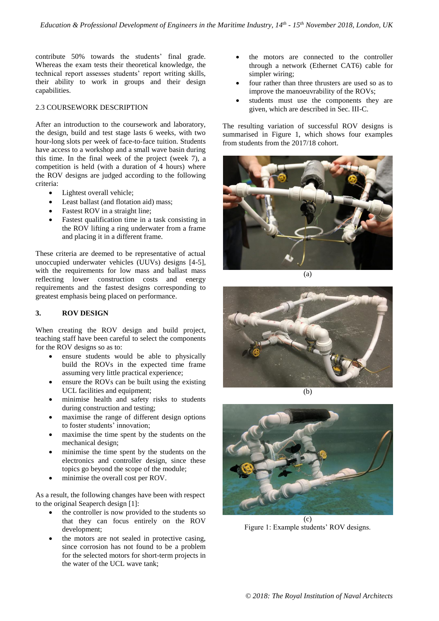contribute 50% towards the students' final grade. Whereas the exam tests their theoretical knowledge, the technical report assesses students' report writing skills, their ability to work in groups and their design capabilities.

## 2.3 COURSEWORK DESCRIPTION

After an introduction to the coursework and laboratory, the design, build and test stage lasts 6 weeks, with two hour-long slots per week of face-to-face tuition. Students have access to a workshop and a small wave basin during this time. In the final week of the project (week 7), a competition is held (with a duration of 4 hours) where the ROV designs are judged according to the following criteria:

- Lightest overall vehicle;
- Least ballast (and flotation aid) mass;
- Fastest ROV in a straight line;
- Fastest qualification time in a task consisting in the ROV lifting a ring underwater from a frame and placing it in a different frame.

These criteria are deemed to be representative of actual unoccupied underwater vehicles (UUVs) designs [4-5], with the requirements for low mass and ballast mass reflecting lower construction costs and energy requirements and the fastest designs corresponding to greatest emphasis being placed on performance.

## **3. ROV DESIGN**

When creating the ROV design and build project, teaching staff have been careful to select the components for the ROV designs so as to:

- ensure students would be able to physically build the ROVs in the expected time frame assuming very little practical experience;
- ensure the ROVs can be built using the existing UCL facilities and equipment;
- minimise health and safety risks to students during construction and testing;
- maximise the range of different design options to foster students' innovation;
- maximise the time spent by the students on the mechanical design;
- minimise the time spent by the students on the electronics and controller design, since these topics go beyond the scope of the module;
- minimise the overall cost per ROV.

As a result, the following changes have been with respect to the original Seaperch design [1]:

- the controller is now provided to the students so that they can focus entirely on the ROV development;
- the motors are not sealed in protective casing, since corrosion has not found to be a problem for the selected motors for short-term projects in the water of the UCL wave tank;
- the motors are connected to the controller through a network (Ethernet CAT6) cable for simpler wiring;
- four rather than three thrusters are used so as to improve the manoeuvrability of the ROVs;
- students must use the components they are given, which are described in Sec. III-C.

The resulting variation of successful ROV designs is summarised in Figure 1, which shows four examples from students from the 2017/18 cohort.







(b)



Figure 1: Example students' ROV designs.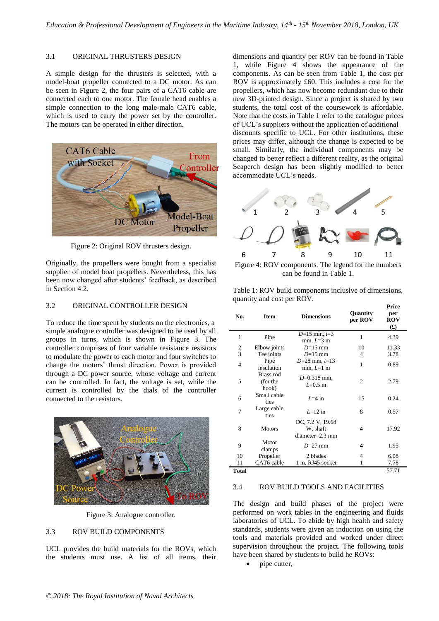### 3.1 ORIGINAL THRUSTERS DESIGN

A simple design for the thrusters is selected, with a model-boat propeller connected to a DC motor. As can be seen in Figure 2, the four pairs of a CAT6 cable are connected each to one motor. The female head enables a simple connection to the long male-male CAT6 cable, which is used to carry the power set by the controller. The motors can be operated in either direction.



Figure 2: Original ROV thrusters design.

Originally, the propellers were bought from a specialist supplier of model boat propellers. Nevertheless, this has been now changed after students' feedback, as described in Section 4.2.

### 3.2 ORIGINAL CONTROLLER DESIGN

To reduce the time spent by students on the electronics, a simple analogue controller was designed to be used by all groups in turns, which is shown in Figure 3. The controller comprises of four variable resistance resistors to modulate the power to each motor and four switches to change the motors' thrust direction. Power is provided through a DC power source, whose voltage and current can be controlled. In fact, the voltage is set, while the current is controlled by the dials of the controller connected to the resistors.



Figure 3: Analogue controller.

### 3.3 ROV BUILD COMPONENTS

UCL provides the build materials for the ROVs, which the students must use. A list of all items, their dimensions and quantity per ROV can be found in Table 1, while Figure 4 shows the appearance of the components. As can be seen from Table 1, the cost per ROV is approximately £60. This includes a cost for the propellers, which has now become redundant due to their new 3D-printed design. Since a project is shared by two students, the total cost of the coursework is affordable. Note that the costs in Table 1 refer to the catalogue prices of UCL's suppliers without the application of additional discounts specific to UCL. For other institutions, these prices may differ, although the change is expected to be small. Similarly, the individual components may be changed to better reflect a different reality, as the original Seaperch design has been slightly modified to better accommodate UCL's needs.



Figure 4: ROV components. The legend for the numbers can be found in Table 1.

Table 1: ROV build components inclusive of dimensions, quantity and cost per ROV. **Price** 

| No.            | <b>Item</b>                    | <b>Dimensions</b>                                 | Quantity<br>per ROV | per<br><b>ROV</b><br>$\mathbf{f}(\mathbf{f})$ |
|----------------|--------------------------------|---------------------------------------------------|---------------------|-----------------------------------------------|
| $\mathbf{1}$   | Pipe                           | $D=15$ mm, $t=3$<br>$mm, L=3$ m                   | 1                   | 4.39                                          |
| 2              | Elbow joints                   | $D=15$ mm                                         | 10                  | 11.33                                         |
| $\overline{3}$ | Tee joints                     | $D=15$ mm                                         | 4                   | 3.78                                          |
| $\overline{4}$ | Pipe<br>insulation             | $D=28$ mm, $t=13$<br>$mm, L=1$ m                  | 1                   | 0.89                                          |
| 5              | Brass rod<br>(for the<br>hook) | $D=0.318$ mm,<br>$L=0.5$ m                        | 2                   | 2.79                                          |
| 6              | Small cable<br>ties            | $I=4$ in                                          | 15                  | 0.24                                          |
| $\overline{7}$ | Large cable<br>ties            | $L=12$ in                                         | 8                   | 0.57                                          |
| 8              | <b>Motors</b>                  | DC, 7.2 V, 19.68<br>W, shaft<br>$diameter=2.3$ mm | 4                   | 17.92                                         |
| 9              | Motor<br>clamps                | $D=27$ mm                                         | 4                   | 1.95                                          |
| 10             | Propeller                      | 2 blades                                          | 4                   | 6.08                                          |
| 11             | CAT6 cable                     | 1 m, RJ45 socket                                  | 1                   | 7.78                                          |
| Total          |                                |                                                   |                     | 57.71                                         |

#### 3.4 ROV BUILD TOOLS AND FACILITIES

The design and build phases of the project were performed on work tables in the engineering and fluids laboratories of UCL. To abide by high health and safety standards, students were given an induction on using the tools and materials provided and worked under direct supervision throughout the project. The following tools have been shared by students to build he ROVs:

pipe cutter,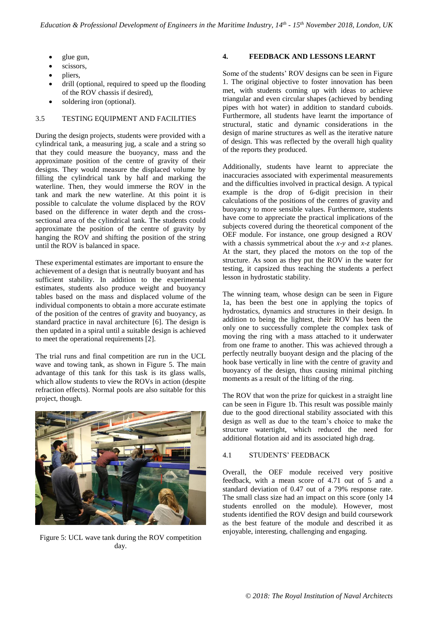- glue gun,
- scissors,
- pliers,
- drill (optional, required to speed up the flooding of the ROV chassis if desired),
- soldering iron (optional).

## 3.5 TESTING EQUIPMENT AND FACILITIES

During the design projects, students were provided with a cylindrical tank, a measuring jug, a scale and a string so that they could measure the buoyancy, mass and the approximate position of the centre of gravity of their designs. They would measure the displaced volume by filling the cylindrical tank by half and marking the waterline. Then, they would immerse the ROV in the tank and mark the new waterline. At this point it is possible to calculate the volume displaced by the ROV based on the difference in water depth and the crosssectional area of the cylindrical tank. The students could approximate the position of the centre of gravity by hanging the ROV and shifting the position of the string until the ROV is balanced in space.

These experimental estimates are important to ensure the achievement of a design that is neutrally buoyant and has sufficient stability. In addition to the experimental estimates, students also produce weight and buoyancy tables based on the mass and displaced volume of the individual components to obtain a more accurate estimate of the position of the centres of gravity and buoyancy, as standard practice in naval architecture [6]. The design is then updated in a spiral until a suitable design is achieved to meet the operational requirements [2].

The trial runs and final competition are run in the UCL wave and towing tank, as shown in Figure 5. The main advantage of this tank for this task is its glass walls, which allow students to view the ROVs in action (despite refraction effects). Normal pools are also suitable for this project, though.



Figure 5: UCL wave tank during the ROV competition day.

## **4. FEEDBACK AND LESSONS LEARNT**

Some of the students' ROV designs can be seen in Figure 1. The original objective to foster innovation has been met, with students coming up with ideas to achieve triangular and even circular shapes (achieved by bending pipes with hot water) in addition to standard cuboids. Furthermore, all students have learnt the importance of structural, static and dynamic considerations in the design of marine structures as well as the iterative nature of design. This was reflected by the overall high quality of the reports they produced.

Additionally, students have learnt to appreciate the inaccuracies associated with experimental measurements and the difficulties involved in practical design. A typical example is the drop of 6-digit precision in their calculations of the positions of the centres of gravity and buoyancy to more sensible values. Furthermore, students have come to appreciate the practical implications of the subjects covered during the theoretical component of the OEF module. For instance, one group designed a ROV with a chassis symmetrical about the *x*-*y* and *x*-*z* planes. At the start, they placed the motors on the top of the structure. As soon as they put the ROV in the water for testing, it capsized thus teaching the students a perfect lesson in hydrostatic stability.

The winning team, whose design can be seen in Figure 1a, has been the best one in applying the topics of hydrostatics, dynamics and structures in their design. In addition to being the lightest, their ROV has been the only one to successfully complete the complex task of moving the ring with a mass attached to it underwater from one frame to another. This was achieved through a perfectly neutrally buoyant design and the placing of the hook base vertically in line with the centre of gravity and buoyancy of the design, thus causing minimal pitching moments as a result of the lifting of the ring.

The ROV that won the prize for quickest in a straight line can be seen in Figure 1b. This result was possible mainly due to the good directional stability associated with this design as well as due to the team's choice to make the structure watertight, which reduced the need for additional flotation aid and its associated high drag.

## 4.1 STUDENTS' FEEDBACK

Overall, the OEF module received very positive feedback, with a mean score of 4.71 out of 5 and a standard deviation of 0.47 out of a 79% response rate. The small class size had an impact on this score (only 14 students enrolled on the module). However, most students identified the ROV design and build coursework as the best feature of the module and described it as enjoyable, interesting, challenging and engaging.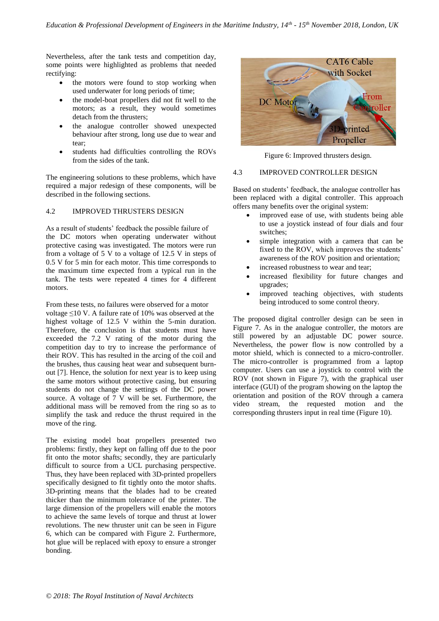Nevertheless, after the tank tests and competition day, some points were highlighted as problems that needed rectifying:

- the motors were found to stop working when used underwater for long periods of time;
- the model-boat propellers did not fit well to the motors; as a result, they would sometimes detach from the thrusters;
- the analogue controller showed unexpected behaviour after strong, long use due to wear and tear;
- students had difficulties controlling the ROVs from the sides of the tank.

The engineering solutions to these problems, which have required a major redesign of these components, will be described in the following sections.

## 4.2 IMPROVED THRUSTERS DESIGN

As a result of students' feedback the possible failure of the DC motors when operating underwater without protective casing was investigated. The motors were run from a voltage of 5 V to a voltage of 12.5 V in steps of 0.5 V for 5 min for each motor. This time corresponds to the maximum time expected from a typical run in the tank. The tests were repeated 4 times for 4 different motors.

From these tests, no failures were observed for a motor voltage ≤10 V. A failure rate of 10% was observed at the highest voltage of 12.5 V within the 5-min duration. Therefore, the conclusion is that students must have exceeded the 7.2 V rating of the motor during the competition day to try to increase the performance of their ROV. This has resulted in the arcing of the coil and the brushes, thus causing heat wear and subsequent burnout [7]. Hence, the solution for next year is to keep using the same motors without protective casing, but ensuring students do not change the settings of the DC power source. A voltage of 7 V will be set. Furthermore, the additional mass will be removed from the ring so as to simplify the task and reduce the thrust required in the move of the ring.

The existing model boat propellers presented two problems: firstly, they kept on falling off due to the poor fit onto the motor shafts; secondly, they are particularly difficult to source from a UCL purchasing perspective. Thus, they have been replaced with 3D-printed propellers specifically designed to fit tightly onto the motor shafts. 3D-printing means that the blades had to be created thicker than the minimum tolerance of the printer. The large dimension of the propellers will enable the motors to achieve the same levels of torque and thrust at lower revolutions. The new thruster unit can be seen in Figure 6, which can be compared with Figure 2. Furthermore, hot glue will be replaced with epoxy to ensure a stronger bonding.



Figure 6: Improved thrusters design.

## 4.3 IMPROVED CONTROLLER DESIGN

Based on students' feedback, the analogue controller has been replaced with a digital controller. This approach offers many benefits over the original system:

- improved ease of use, with students being able to use a joystick instead of four dials and four switches;
- simple integration with a camera that can be fixed to the ROV, which improves the students' awareness of the ROV position and orientation;
- increased robustness to wear and tear;
- increased flexibility for future changes and upgrades;
- improved teaching objectives, with students being introduced to some control theory.

The proposed digital controller design can be seen in Figure 7. As in the analogue controller, the motors are still powered by an adjustable DC power source. Nevertheless, the power flow is now controlled by a motor shield, which is connected to a micro-controller. The micro-controller is programmed from a laptop computer. Users can use a joystick to control with the ROV (not shown in Figure 7), with the graphical user interface (GUI) of the program showing on the laptop the orientation and position of the ROV through a camera video stream, the requested motion and the corresponding thrusters input in real time (Figure 10).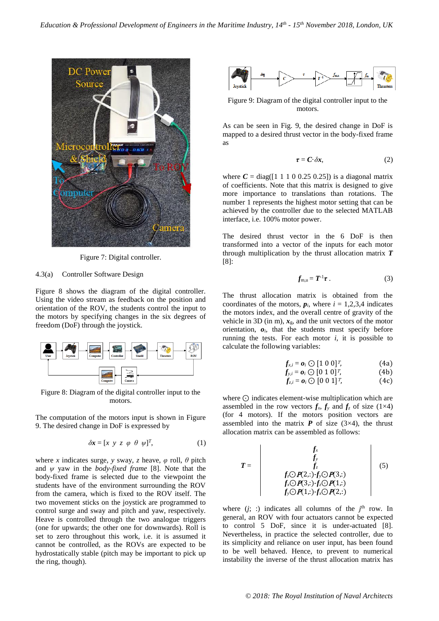

Figure 7: Digital controller.

### 4.3(a) Controller Software Design

Figure 8 shows the diagram of the digital controller. Using the video stream as feedback on the position and orientation of the ROV, the students control the input to the motors by specifying changes in the six degrees of freedom (DoF) through the joystick.



Figure 8: Diagram of the digital controller input to the motors.

The computation of the motors input is shown in Figure 9. The desired change in DoF is expressed by

$$
\delta \mathbf{x} = [x \ y \ z \ \varphi \ \theta \ \psi]^T, \tag{1}
$$

where *x* indicates surge, *y* sway, *z* heave,  $\varphi$  roll,  $\theta$  pitch and *ψ* yaw in the *body-fixed frame* [8]. Note that the body-fixed frame is selected due to the viewpoint the students have of the environment surrounding the ROV from the camera, which is fixed to the ROV itself. The two movement sticks on the joystick are programmed to control surge and sway and pitch and yaw, respectively. Heave is controlled through the two analogue triggers (one for upwards; the other one for downwards). Roll is set to zero throughout this work, i.e. it is assumed it cannot be controlled, as the ROVs are expected to be hydrostatically stable (pitch may be important to pick up the ring, though).



Figure 9: Diagram of the digital controller input to the motors.

As can be seen in Fig. 9, the desired change in DoF is mapped to a desired thrust vector in the body-fixed frame as

$$
\tau = C \cdot \delta x,\tag{2}
$$

where  $C = diag([1 \ 1 \ 1 \ 0 \ 0.25 \ 0.25])$  is a diagonal matrix of coefficients. Note that this matrix is designed to give more importance to translations than rotations. The number 1 represents the highest motor setting that can be achieved by the controller due to the selected MATLAB interface, i.e. 100% motor power.

The desired thrust vector in the 6 DoF is then transformed into a vector of the inputs for each motor through multiplication by the thrust allocation matrix *T* [8]:

$$
f_{m,u}=T^{-1}\tau\,.
$$
 (3)

The thrust allocation matrix is obtained from the coordinates of the motors,  $p_i$ , where  $i = 1,2,3,4$  indicates the motors index, and the overall centre of gravity of the vehicle in 3D (in m),  $x_{\rm g}$ , and the unit vectors of the motor orientation,  $o_i$ , that the students must specify before running the tests. For each motor  $i$ , it is possible to calculate the following variables:

$$
f_{x,i} = o_i \bigcirc [1 \ 0 \ 0]^T, \tag{4a}
$$
  

$$
f_{x,i} = o_i \bigcirc [0 \ 1 \ 0]^T, \tag{4b}
$$

$$
f_{z,i} = \boldsymbol{o}_i \odot [0 \ 1 \ 0]^T, \qquad (4c)
$$
  

$$
f_{z,i} = \boldsymbol{o}_i \odot [0 \ 0 \ 1]^T, \qquad (4c)
$$

$$
z_i - \mathbf{v}_i \cup \left[\mathbf{v} \mathbf{v} \mathbf{1}\right], \qquad (\text{FC})
$$

where ⊙ indicates element-wise multiplication which are assembled in the row vectors  $f_x$ ,  $f_y$  and  $f_z$  of size (1×4) (for 4 motors). If the motors position vectors are assembled into the matrix  $P$  of size (3×4), the thrust allocation matrix can be assembled as follows:

$$
T = \begin{vmatrix} f_x \\ f_y \\ f_z \\ f_z \bigcirc P(2,:.)f_y \bigcirc P(3,:) \\ f_x \bigcirc P(3,:.)f_z \bigcirc P(1,:) \\ f_y \bigcirc P(1,:.)f_x \bigcirc P(2,:) \end{vmatrix}
$$
(5)

where  $(j; :)$  indicates all columns of the  $j<sup>th</sup>$  row. In general, an ROV with four actuators cannot be expected to control 5 DoF, since it is under-actuated [8]. Nevertheless, in practice the selected controller, due to its simplicity and reliance on user input, has been found to be well behaved. Hence, to prevent to numerical instability the inverse of the thrust allocation matrix has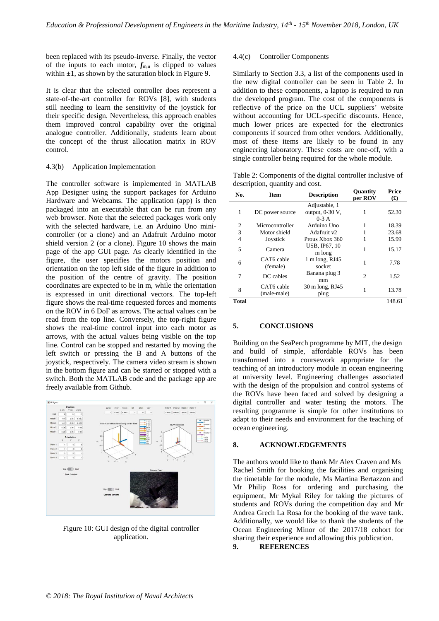been replaced with its pseudo-inverse. Finally, the vector of the inputs to each motor,  $f_{m,u}$  is clipped to values within  $\pm 1$ , as shown by the saturation block in Figure 9.

It is clear that the selected controller does represent a state-of-the-art controller for ROVs [8], with students still needing to learn the sensitivity of the joystick for their specific design. Nevertheless, this approach enables them improved control capability over the original analogue controller. Additionally, students learn about the concept of the thrust allocation matrix in ROV control.

## 4.3(b) Application Implementation

The controller software is implemented in MATLAB App Designer using the support packages for Arduino Hardware and Webcams. The application (app) is then packaged into an executable that can be run from any web browser. Note that the selected packages work only with the selected hardware, i.e. an Arduino Uno minicontroller (or a clone) and an Adafruit Arduino motor shield version 2 (or a clone). Figure 10 shows the main page of the app GUI page. As clearly identified in the figure, the user specifies the motors position and orientation on the top left side of the figure in addition to the position of the centre of gravity. The position coordinates are expected to be in m, while the orientation is expressed in unit directional vectors. The top-left figure shows the real-time requested forces and moments on the ROV in 6 DoF as arrows. The actual values can be read from the top line. Conversely, the top-right figure shows the real-time control input into each motor as arrows, with the actual values being visible on the top line. Control can be stopped and restarted by moving the left switch or pressing the B and A buttons of the joystick, respectively. The camera video stream is shown in the bottom figure and can be started or stopped with a switch. Both the MATLAB code and the package app are freely available from Github.



Figure 10: GUI design of the digital controller application.

#### 4.4(c) Controller Components

Similarly to Section 3.3, a list of the components used in the new digital controller can be seen in Table 2. In addition to these components, a laptop is required to run the developed program. The cost of the components is reflective of the price on the UCL suppliers' website without accounting for UCL-specific discounts. Hence, much lower prices are expected for the electronics components if sourced from other vendors. Additionally, most of these items are likely to be found in any engineering laboratory. These costs are one-off, with a single controller being required for the whole module.

Table 2: Components of the digital controller inclusive of description, quantity and cost.

| No.          | <b>Item</b>            | <b>Description</b>             | Quantity<br>per ROV | Price<br>$\mathbf{f}(\mathbf{f})$ |
|--------------|------------------------|--------------------------------|---------------------|-----------------------------------|
|              |                        | Adjustable, 1                  |                     |                                   |
| 1            | DC power source        | output, 0-30 V,                | 1                   | 52.30                             |
|              |                        | $0-3$ A                        |                     |                                   |
| 2            | Microcontroller        | Arduino Uno                    | 1                   | 18.39                             |
| 3            | Motor shield           | Adafruit v2                    |                     | 23.68                             |
| 4            | Joystick               | Prous Xbox 360                 |                     | 15.99                             |
| 5            | Camera                 | <b>USB, IP67, 10</b><br>m long | 1                   | 15.17                             |
| 6            | CAT6 cable<br>(female) | 1 m long, RJ45                 | 1                   | 7.78                              |
|              |                        | socket                         |                     |                                   |
| 7            | DC cables              | Banana plug 3                  | $\mathfrak{D}$      | 1.52                              |
|              |                        | mm                             |                     |                                   |
| 8            | CAT6 cable             | 30 m long, RJ45                | 1                   | 13.78                             |
|              | (male-male)            | plug                           |                     |                                   |
| <b>Total</b> |                        |                                |                     | 148.61                            |

### **5. CONCLUSIONS**

Building on the SeaPerch programme by MIT, the design and build of simple, affordable ROVs has been transformed into a coursework appropriate for the teaching of an introductory module in ocean engineering at university level. Engineering challenges associated with the design of the propulsion and control systems of the ROVs have been faced and solved by designing a digital controller and water testing the motors. The resulting programme is simple for other institutions to adapt to their needs and environment for the teaching of ocean engineering.

#### **8. ACKNOWLEDGEMENTS**

The authors would like to thank Mr Alex Craven and Ms Rachel Smith for booking the facilities and organising the timetable for the module, Ms Martina Bertazzon and Mr Philip Ross for ordering and purchasing the equipment, Mr Mykal Riley for taking the pictures of students and ROVs during the competition day and Mr Andrea Grech La Rosa for the booking of the wave tank. Additionally, we would like to thank the students of the Ocean Engineering Minor of the 2017/18 cohort for sharing their experience and allowing this publication.

**9. REFERENCES**